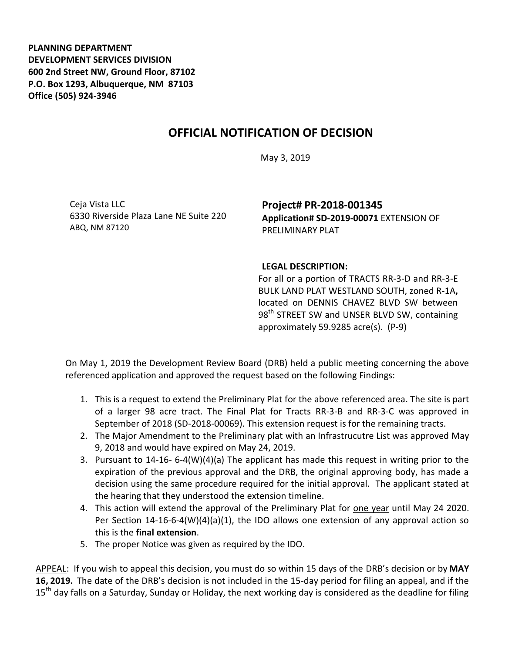**PLANNING DEPARTMENT DEVELOPMENT SERVICES DIVISION 600 2nd Street NW, Ground Floor, 87102 P.O. Box 1293, Albuquerque, NM 87103 Office (505) 924-3946** 

## **OFFICIAL NOTIFICATION OF DECISION**

May 3, 2019

Ceja Vista LLC 6330 Riverside Plaza Lane NE Suite 220 ABQ, NM 87120

**Project# PR-2018-001345 Application# SD-2019-00071** EXTENSION OF PRELIMINARY PLAT

## **LEGAL DESCRIPTION:**

For all or a portion of TRACTS RR-3-D and RR-3-E BULK LAND PLAT WESTLAND SOUTH, zoned R-1A**,** located on DENNIS CHAVEZ BLVD SW between 98<sup>th</sup> STREET SW and UNSER BLVD SW, containing approximately 59.9285 acre(s). (P-9)

On May 1, 2019 the Development Review Board (DRB) held a public meeting concerning the above referenced application and approved the request based on the following Findings:

- 1. This is a request to extend the Preliminary Plat for the above referenced area. The site is part of a larger 98 acre tract. The Final Plat for Tracts RR-3-B and RR-3-C was approved in September of 2018 (SD-2018-00069). This extension request is for the remaining tracts.
- 2. The Major Amendment to the Preliminary plat with an Infrastrucutre List was approved May 9, 2018 and would have expired on May 24, 2019.
- 3. Pursuant to 14-16- 6-4(W)(4)(a) The applicant has made this request in writing prior to the expiration of the previous approval and the DRB, the original approving body, has made a decision using the same procedure required for the initial approval. The applicant stated at the hearing that they understood the extension timeline.
- 4. This action will extend the approval of the Preliminary Plat for one year until May 24 2020. Per Section 14-16-6-4(W)(4)(a)(1), the IDO allows one extension of any approval action so this is the **final extension**.
- 5. The proper Notice was given as required by the IDO.

APPEAL: If you wish to appeal this decision, you must do so within 15 days of the DRB's decision or by **MAY 16, 2019.** The date of the DRB's decision is not included in the 15-day period for filing an appeal, and if the 15<sup>th</sup> day falls on a Saturday, Sunday or Holiday, the next working day is considered as the deadline for filing